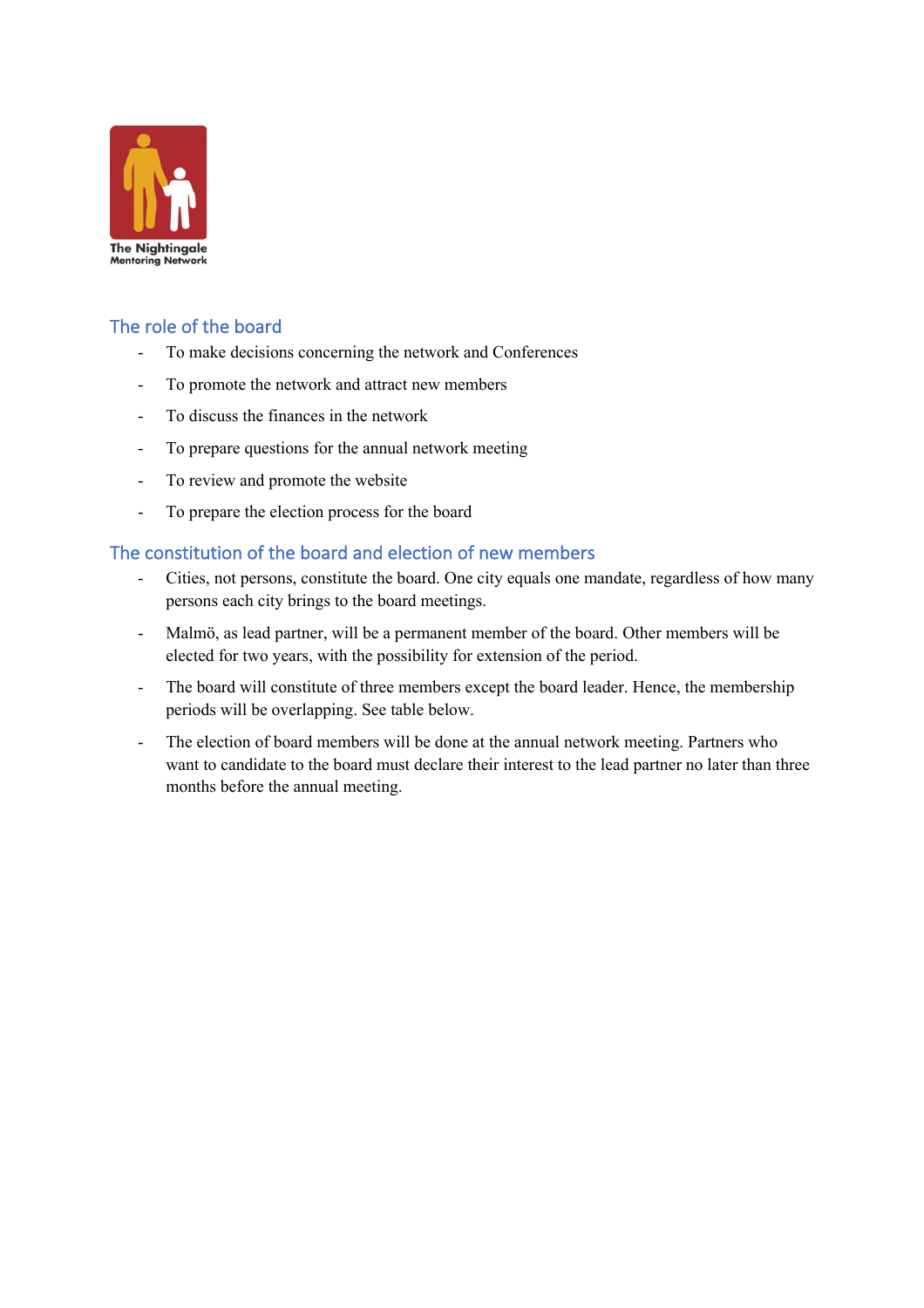

## The role of the board

- To make decisions concerning the network and Conferences
- To promote the network and attract new members
- To discuss the finances in the network
- To prepare questions for the annual network meeting
- To review and promote the website
- To prepare the election process for the board

## The constitution of the board and election of new members

- Cities, not persons, constitute the board. One city equals one mandate, regardless of how many persons each city brings to the board meetings.
- Malmö, as lead partner, will be a permanent member of the board. Other members will be elected for two years, with the possibility for extension of the period.
- The board will constitute of three members except the board leader. Hence, the membership periods will be overlapping. See table below.
- The election of board members will be done at the annual network meeting. Partners who want to candidate to the board must declare their interest to the lead partner no later than three months before the annual meeting.